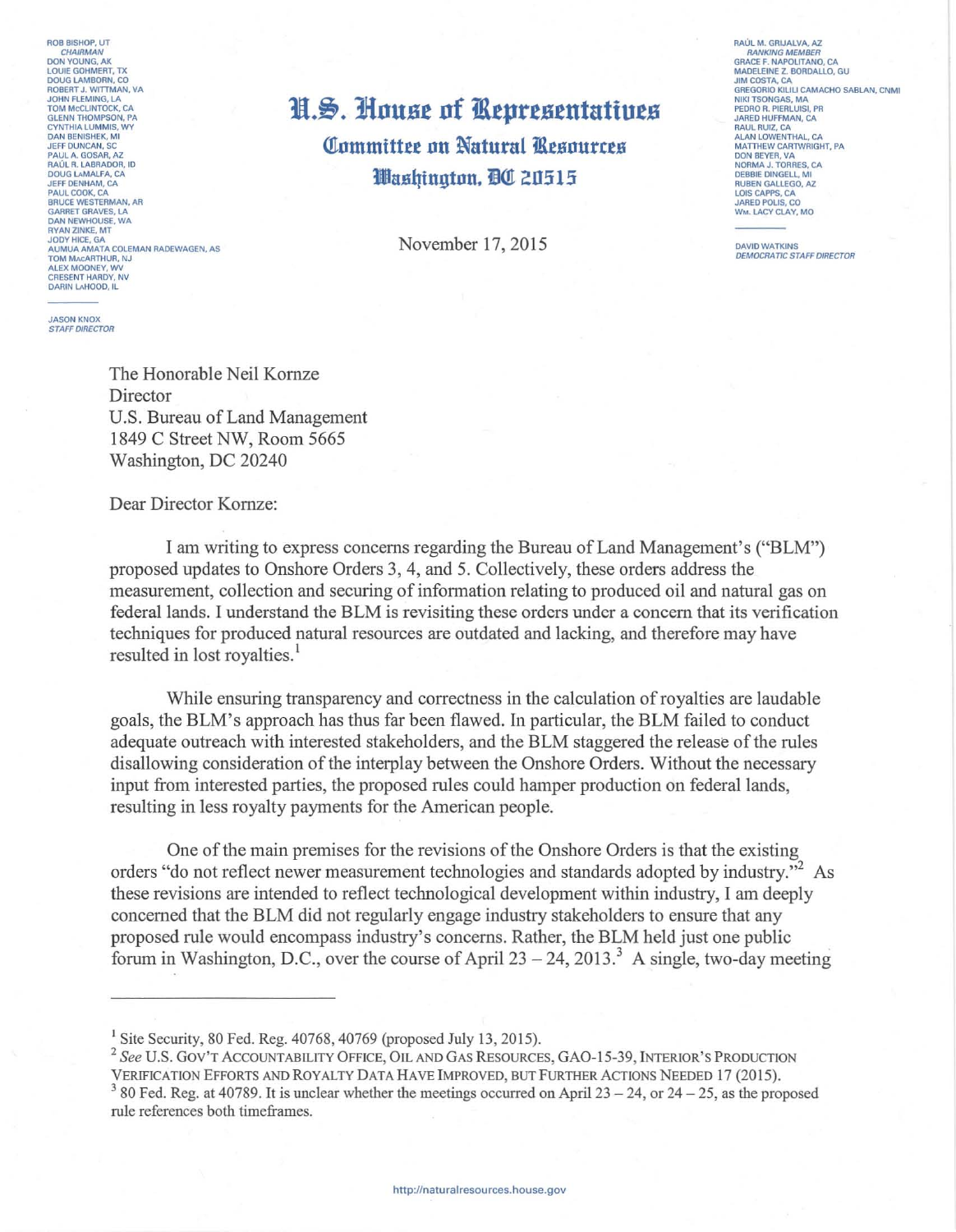ROB BISHOP, UT DON YOUNG AK **LOUIE GOHMERT, TX<br>LOUIE GOHMERT, TX<br>ROBERT J. WITTMAN, VA** JOHN FLEMING, LA TOM MCCLINTOCK, CA CYNTHIA LUMMIS WY **CYNTHIA LUMMIS, V**<br>JEFF DUNCAN, SC<br>PAUL A. GOSAR, AZ PAUL A. GOSAN, AZ<br>RAÚL R. LABRADOR, ID<br>DOUG LAMALFA, CA<br>JEFF DENHAM, CA **PAUL COOK, CA<br>BRUCE WESTERMAN, AR<br>GARRET GRAVES, LA DAN NEWHOUSE, WA** DAN NEWNOUSE, WA<br>RYAN ZINKE, MT<br>JODY HICE, GA<br>AUMUA AMATA COLEMAN RADEWAGEN, AS TOM MACARTHUR, NJ ALEX MOONEY, WV DARIN LAHOOD, IL

**JASON KNOX STAFF DIRECTOR** 

## H.S. House of Representatives

**Committee on Natural Resources** Washington, DC 20515

November 17, 2015

RAÚL M. GRIJALVA, AZ **RANKING MEMBER** GRACE E, NAPOLITANO, CA MADELEINE Z. BORDALLO, GU<br>JIM COSTA, CA GREGORIO KILILI CAMACHO SABLAN, CNMI NIKI TSONGAS, MA<br>PEDRO R. PIERLUISI, PR<br>JARED HUFFMAN, CA SARED HOFFMAN, CA<br>RAUL RUIZ, CA<br>ALAN LOWENTHAL, CA<br>MATTHEW CARTWRIGHT, PA DON BEYER, VA **NORMA J. TORRES, CA<br>DEBBIE DINGELL, MI<br>RUBEN GALLEGO, AZ** LOIS CAPPS, CA JARED POLIS, CO

**DAVID WATKINS DEMOCRATIC STAFF DIRECTOR** 

The Honorable Neil Kornze Director U.S. Bureau of Land Management 1849 C Street NW, Room 5665 Washington, DC 20240

Dear Director Kornze:

I am writing to express concerns regarding the Bureau of Land Management's ("BLM") proposed updates to Onshore Orders 3, 4, and 5. Collectively, these orders address the measurement, collection and securing of information relating to produced oil and natural gas on federal lands. I understand the BLM is revisiting these orders under a concern that its verification techniques for produced natural resources are outdated and lacking, and therefore may have resulted in lost royalties.<sup>1</sup>

While ensuring transparency and correctness in the calculation of royalties are laudable goals, the BLM's approach has thus far been flawed. In particular, the BLM failed to conduct adequate outreach with interested stakeholders, and the BLM staggered the release of the rules disallowing consideration of the interplay between the Onshore Orders. Without the necessary input from interested parties, the proposed rules could hamper production on federal lands, resulting in less royalty payments for the American people.

One of the main premises for the revisions of the Onshore Orders is that the existing orders "do not reflect newer measurement technologies and standards adopted by industry."<sup>2</sup> As these revisions are intended to reflect technological development within industry, I am deeply concerned that the BLM did not regularly engage industry stakeholders to ensure that any proposed rule would encompass industry's concerns. Rather, the BLM held just one public forum in Washington, D.C., over the course of April  $23 - 24$ ,  $2013$ <sup>3</sup> A single, two-day meeting

<sup>&</sup>lt;sup>1</sup> Site Security, 80 Fed. Reg.  $40768$ ,  $40769$  (proposed July 13, 2015).

<sup>&</sup>lt;sup>2</sup> See U.S. GOV'T ACCOUNTABILITY OFFICE, OIL AND GAS RESOURCES, GAO-15-39, INTERIOR'S PRODUCTION VERIFICATION EFFORTS AND ROYALTY DATA HAVE IMPROVED, BUT FURTHER ACTIONS NEEDED 17 (2015).  $3$  80 Fed. Reg. at 40789. It is unclear whether the meetings occurred on April 23 – 24, or 24 – 25, as the proposed rule references both timeframes.